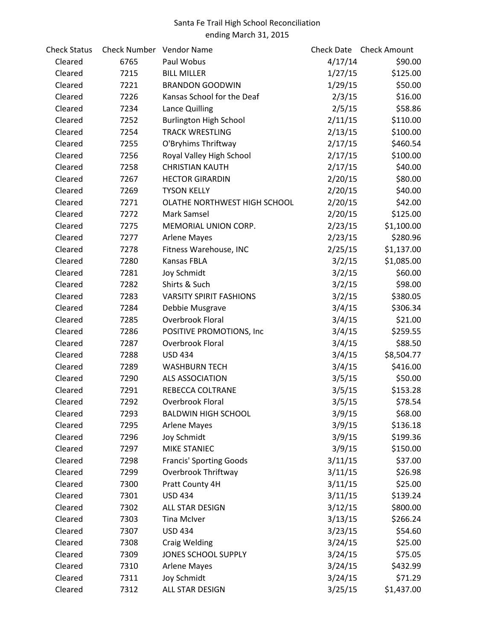## Santa Fe Trail High School Reconciliation ending March 31, 2015

| <b>Check Status</b> | Check Number Vendor Name |                                | Check Date | <b>Check Amount</b> |
|---------------------|--------------------------|--------------------------------|------------|---------------------|
| Cleared             | 6765                     | Paul Wobus                     | 4/17/14    | \$90.00             |
| Cleared             | 7215                     | <b>BILL MILLER</b>             | 1/27/15    | \$125.00            |
| Cleared             | 7221                     | <b>BRANDON GOODWIN</b>         | 1/29/15    | \$50.00             |
| Cleared             | 7226                     | Kansas School for the Deaf     | 2/3/15     | \$16.00             |
| Cleared             | 7234                     | Lance Quilling                 | 2/5/15     | \$58.86             |
| Cleared             | 7252                     | <b>Burlington High School</b>  | 2/11/15    | \$110.00            |
| Cleared             | 7254                     | <b>TRACK WRESTLING</b>         | 2/13/15    | \$100.00            |
| Cleared             | 7255                     | O'Bryhims Thriftway            | 2/17/15    | \$460.54            |
| Cleared             | 7256                     | Royal Valley High School       | 2/17/15    | \$100.00            |
| Cleared             | 7258                     | <b>CHRISTIAN KAUTH</b>         | 2/17/15    | \$40.00             |
| Cleared             | 7267                     | <b>HECTOR GIRARDIN</b>         | 2/20/15    | \$80.00             |
| Cleared             | 7269                     | <b>TYSON KELLY</b>             | 2/20/15    | \$40.00             |
| Cleared             | 7271                     | OLATHE NORTHWEST HIGH SCHOOL   | 2/20/15    | \$42.00             |
| Cleared             | 7272                     | Mark Samsel                    | 2/20/15    | \$125.00            |
| Cleared             | 7275                     | MEMORIAL UNION CORP.           | 2/23/15    | \$1,100.00          |
| Cleared             | 7277                     | <b>Arlene Mayes</b>            | 2/23/15    | \$280.96            |
| Cleared             | 7278                     | Fitness Warehouse, INC         | 2/25/15    | \$1,137.00          |
| Cleared             | 7280                     | Kansas FBLA                    | 3/2/15     | \$1,085.00          |
| Cleared             | 7281                     | Joy Schmidt                    | 3/2/15     | \$60.00             |
| Cleared             | 7282                     | Shirts & Such                  | 3/2/15     | \$98.00             |
| Cleared             | 7283                     | <b>VARSITY SPIRIT FASHIONS</b> | 3/2/15     | \$380.05            |
| Cleared             | 7284                     | Debbie Musgrave                | 3/4/15     | \$306.34            |
| Cleared             | 7285                     | Overbrook Floral               | 3/4/15     | \$21.00             |
| Cleared             | 7286                     | POSITIVE PROMOTIONS, Inc       | 3/4/15     | \$259.55            |
| Cleared             | 7287                     | Overbrook Floral               | 3/4/15     | \$88.50             |
| Cleared             | 7288                     | <b>USD 434</b>                 | 3/4/15     | \$8,504.77          |
| Cleared             | 7289                     | <b>WASHBURN TECH</b>           | 3/4/15     | \$416.00            |
| Cleared             | 7290                     | <b>ALS ASSOCIATION</b>         | 3/5/15     | \$50.00             |
| Cleared             | 7291                     | REBECCA COLTRANE               | 3/5/15     | \$153.28            |
| Cleared             | 7292                     | Overbrook Floral               | 3/5/15     | \$78.54             |
| Cleared             | 7293                     | <b>BALDWIN HIGH SCHOOL</b>     | 3/9/15     | \$68.00             |
| Cleared             | 7295                     | <b>Arlene Mayes</b>            | 3/9/15     | \$136.18            |
| Cleared             | 7296                     | Joy Schmidt                    | 3/9/15     | \$199.36            |
| Cleared             | 7297                     | <b>MIKE STANIEC</b>            | 3/9/15     | \$150.00            |
| Cleared             | 7298                     | <b>Francis' Sporting Goods</b> | 3/11/15    | \$37.00             |
| Cleared             | 7299                     | Overbrook Thriftway            | 3/11/15    | \$26.98             |
| Cleared             | 7300                     | Pratt County 4H                | 3/11/15    | \$25.00             |
| Cleared             | 7301                     | <b>USD 434</b>                 | 3/11/15    | \$139.24            |
| Cleared             | 7302                     | ALL STAR DESIGN                | 3/12/15    | \$800.00            |
| Cleared             | 7303                     | <b>Tina McIver</b>             | 3/13/15    | \$266.24            |
| Cleared             | 7307                     | <b>USD 434</b>                 | 3/23/15    | \$54.60             |
| Cleared             | 7308                     | <b>Craig Welding</b>           | 3/24/15    | \$25.00             |
| Cleared             | 7309                     | JONES SCHOOL SUPPLY            | 3/24/15    | \$75.05             |
| Cleared             | 7310                     | <b>Arlene Mayes</b>            | 3/24/15    | \$432.99            |
| Cleared             | 7311                     | Joy Schmidt                    | 3/24/15    | \$71.29             |
| Cleared             | 7312                     | ALL STAR DESIGN                | 3/25/15    | \$1,437.00          |